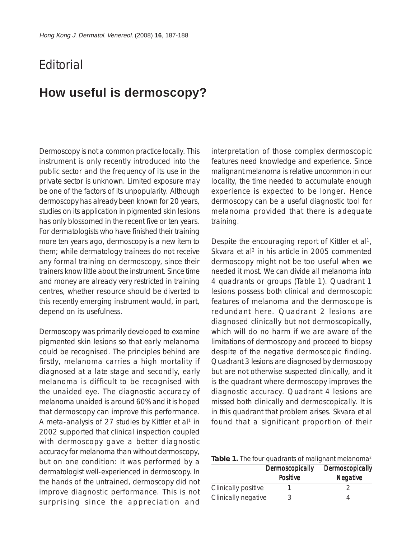## **F**ditorial

## **How useful is dermoscopy?**

Dermoscopy is not a common practice locally. This instrument is only recently introduced into the public sector and the frequency of its use in the private sector is unknown. Limited exposure may be one of the factors of its unpopularity. Although dermoscopy has already been known for 20 years, studies on its application in pigmented skin lesions has only blossomed in the recent five or ten years. For dermatologists who have finished their training more ten years ago, dermoscopy is a new item to them; while dermatology trainees do not receive any formal training on dermoscopy, since their trainers know little about the instrument. Since time and money are already very restricted in training centres, whether resource should be diverted to this recently emerging instrument would, in part, depend on its usefulness.

Dermoscopy was primarily developed to examine pigmented skin lesions so that early melanoma could be recognised. The principles behind are firstly, melanoma carries a high mortality if diagnosed at a late stage and secondly, early melanoma is difficult to be recognised with the unaided eye. The diagnostic accuracy of melanoma unaided is around 60% and it is hoped that dermoscopy can improve this performance. A meta-analysis of 27 studies by Kittler et al<sup>1</sup> in 2002 supported that clinical inspection coupled with dermoscopy gave a better diagnostic accuracy for melanoma than without dermoscopy, but on one condition: it was performed by a dermatologist well-experienced in dermoscopy. In the hands of the untrained, dermoscopy did not improve diagnostic performance. This is not surprising since the appreciation and

interpretation of those complex dermoscopic features need knowledge and experience. Since malignant melanoma is relative uncommon in our locality, the time needed to accumulate enough experience is expected to be longer. Hence dermoscopy can be a useful diagnostic tool for melanoma provided that there is adequate training.

Despite the encouraging report of Kittler et al<sup>1</sup>, Skvara et al<sup>2</sup> in his article in 2005 commented dermoscopy might not be too useful when we needed it most. We can divide all melanoma into 4 quadrants or groups (Table 1). Quadrant 1 lesions possess both clinical and dermoscopic features of melanoma and the dermoscope is redundant here. Quadrant 2 lesions are diagnosed clinically but not dermoscopically, which will do no harm if we are aware of the limitations of dermoscopy and proceed to biopsy despite of the negative dermoscopic finding. Quadrant 3 lesions are diagnosed by dermoscopy but are not otherwise suspected clinically, and it is the quadrant where dermoscopy improves the diagnostic accuracy. Quadrant 4 lesions are missed both clinically and dermoscopically. It is in this quadrant that problem arises. Skvara et al found that a significant proportion of their

Table 1. The four quadrants of malignant melanoma<sup>2</sup>

|                     | Dermoscopically<br><b>Positive</b> | Dermoscopically<br><b>Negative</b> |
|---------------------|------------------------------------|------------------------------------|
| Clinically positive |                                    |                                    |
| Clinically negative |                                    |                                    |